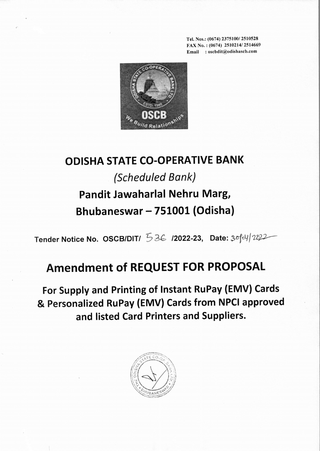Tel. Nos.: (0674) *2375100/2510528* FAX No. : (0674) *2510214/2514669* Email: oscbdit@odishascb.com



## **OOISHA STATE CO-OPERATIVE BANK** *(Scheduled Bank)* **Pandit Jawaharlal Nehru Marg, Bhubaneswar - 751001 (Odisha)**

Tender Notice No. OSCB/DIT/  $536$  /2022-23, Date:  $3004/2022$ 

## **Amendment of REQUEST FOR PROPOSAL**

**For Supply and Printing of Instant RuPay (EMV) Cards & Personalized RuPay (EMV) Cards from NPCI approved and listed Card Printers and Suppliers.**

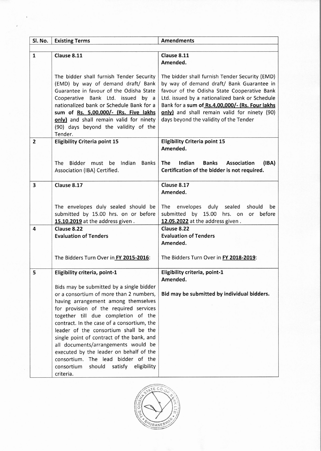| Sl. No.                 | <b>Existing Terms</b>                                                                                                                                                                                                                                                                                                                                                                                                                                                                                                                  | <b>Amendments</b>                                                                                                                                                                                                                                                                                                                         |
|-------------------------|----------------------------------------------------------------------------------------------------------------------------------------------------------------------------------------------------------------------------------------------------------------------------------------------------------------------------------------------------------------------------------------------------------------------------------------------------------------------------------------------------------------------------------------|-------------------------------------------------------------------------------------------------------------------------------------------------------------------------------------------------------------------------------------------------------------------------------------------------------------------------------------------|
|                         |                                                                                                                                                                                                                                                                                                                                                                                                                                                                                                                                        |                                                                                                                                                                                                                                                                                                                                           |
| $\mathbf{1}$            | Clause 8.11                                                                                                                                                                                                                                                                                                                                                                                                                                                                                                                            | Clause 8.11<br>Amended.                                                                                                                                                                                                                                                                                                                   |
|                         | The bidder shall furnish Tender Security<br>(EMD) by way of demand draft/ Bank<br>Guarantee in favour of the Odisha State<br>Cooperative Bank Ltd. issued by a<br>nationalized bank or Schedule Bank for a<br>sum of Rs. 5,00,000/- (Rs. Five lakhs<br>only) and shall remain valid for ninety<br>(90) days beyond the validity of the<br>Tender.                                                                                                                                                                                      | The bidder shall furnish Tender Security (EMD)<br>by way of demand draft/ Bank Guarantee in<br>favour of the Odisha State Cooperative Bank<br>Ltd. issued by a nationalized bank or Schedule<br>Bank for a sum of Rs.4,00,000/- (Rs. Four lakhs<br>only) and shall remain valid for ninety (90)<br>days beyond the validity of the Tender |
| $\overline{2}$          | <b>Eligibility Criteria point 15</b><br>Indian<br><b>The</b><br>Bidder must<br>be<br><b>Banks</b>                                                                                                                                                                                                                                                                                                                                                                                                                                      | <b>Eligibility Criteria point 15</b><br>Amended.<br>The<br>Indian<br>(IBA)<br><b>Banks</b><br>Association                                                                                                                                                                                                                                 |
|                         | Association (IBA) Certified.                                                                                                                                                                                                                                                                                                                                                                                                                                                                                                           | Certification of the bidder is not required.                                                                                                                                                                                                                                                                                              |
| $\overline{\mathbf{3}}$ | Clause 8.17                                                                                                                                                                                                                                                                                                                                                                                                                                                                                                                            | Clause 8.17<br>Amended.                                                                                                                                                                                                                                                                                                                   |
|                         | The envelopes duly sealed should be<br>submitted by 15.00 hrs. on or before<br>15.10.2019 at the address given.                                                                                                                                                                                                                                                                                                                                                                                                                        | The envelopes duly sealed should<br>be<br>submitted by 15.00 hrs. on or before<br>12.05.2022 at the address given.                                                                                                                                                                                                                        |
| 4                       | Clause 8.22<br><b>Evaluation of Tenders</b>                                                                                                                                                                                                                                                                                                                                                                                                                                                                                            | Clause 8.22<br><b>Evaluation of Tenders</b><br>Amended.                                                                                                                                                                                                                                                                                   |
|                         | The Bidders Turn Over in FY 2015-2016:                                                                                                                                                                                                                                                                                                                                                                                                                                                                                                 | The Bidders Turn Over in FY 2018-2019:                                                                                                                                                                                                                                                                                                    |
| 5                       | Eligibility criteria, point-1                                                                                                                                                                                                                                                                                                                                                                                                                                                                                                          | Eligibility criteria, point-1<br>Amended.                                                                                                                                                                                                                                                                                                 |
|                         | Bids may be submitted by a single bidder<br>or a consortium of more than 2 numbers,<br>having arrangement among themselves<br>for provision of the required services<br>together till due completion of the<br>contract. In the case of a consortium, the<br>leader of the consortium shall be the<br>single point of contract of the bank, and<br>all documents/arrangements would be<br>executed by the leader on behalf of the<br>consortium. The lead bidder of the<br>should<br>satisfy<br>eligibility<br>consortium<br>criteria. | Bid may be submitted by individual bidders.                                                                                                                                                                                                                                                                                               |